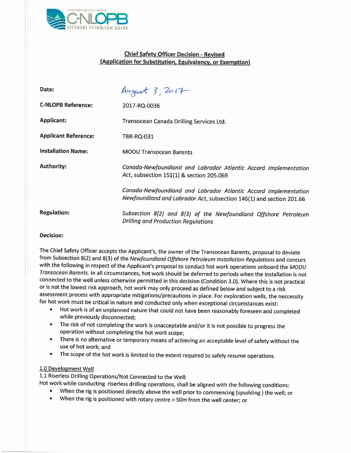

# **Chief Safety Officer Decision - Revised (Application for Substitution, Equivalency, or Exemption)**

| Date:                       | August 3, 2017                                                                                                                         |
|-----------------------------|----------------------------------------------------------------------------------------------------------------------------------------|
| <b>C-NLOPB Reference:</b>   | 2017-RQ-0036                                                                                                                           |
| <b>Applicant:</b>           | Transocean Canada Drilling Services Ltd.                                                                                               |
| <b>Applicant Reference:</b> | TBR-RQ-031                                                                                                                             |
| <b>Installation Name:</b>   | <b>MODU Transocean Barents</b>                                                                                                         |
| <b>Authority:</b>           | Canada-Newfoundland and Labrador Atlantic Accord Implementation<br>Act, subsection 151(1) & section 205.069                            |
|                             | Canada-Newfoundland and Labrador Atlantic Accord Implementation<br>Newfoundland and Labrador Act, subsection 146(1) and section 201.66 |
| <b>Regulation:</b>          | Subsection 8(2) and 8(3) of the Newfoundland Offshore Petroleum<br><b>Drilling and Production Regulations</b>                          |

#### **Decision:**

The Chief Safety Officer accepts the Applicant's, the owner of the Transocean Barents, proposal to deviate from Subsection 8(2) and 8(3) ofthe *Newfoundland Offshore Petroleum Installation Regulations* and concurs with the following in respect of the Applicant's proposal to conduct hot work operations onboard the *MODU Transocean Barents.* In all circumstances, hot work should be deferred to periods when the installation is not connected to the well unless otherwise permitted in this decision (Condition 3.0). Where this is not practical or is not the lowest risk approach, hot work may only proceed as defined below and subject to a risk assessment process with appropriate mitigations/precautions in place. For exploration wells, the neccessity for hot work must be critical in nature and conducted only when exceptional circumstances exist:

- Hot work is of an unplanned nature that could not have been reasonably foreseen and completed while previously disconnected;
- The risk of not completing the work is unacceptable and/or it is not possible to progress the operation without completing the hot work scope;
- There is no alternative or temporary means of achieving an acceptable level of safety without the use of hot work; and
- The scope of the hot work is limited to the extent required to safely resume operations.

### 1.0 Development Well

1.1 Riserless Drilling Operations/Not Connected to the Well:

Hot work while conducting riserless drilling operations, shall be aligned with the following conditions:

- When the rig is positioned directly above the well prior to commencing (spudding) the well; or
- When the rig is positioned with rotary centre > 50m from the well center; or